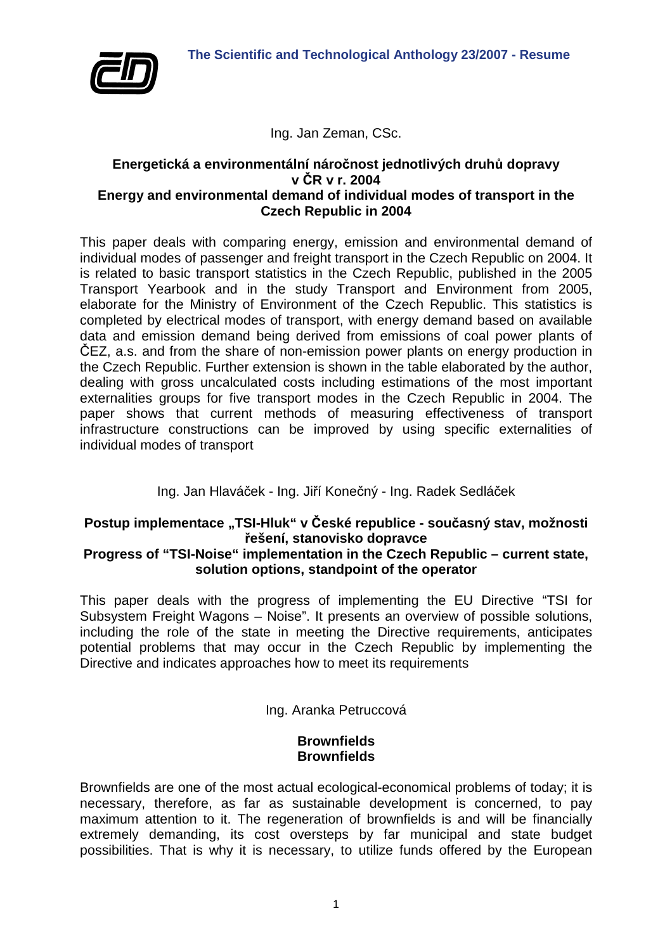

Ing. Jan Zeman, CSc.

#### **Energetická a environmentální náročnost jednotlivých druhů dopravy v ČR v r. 2004 Energy and environmental demand of individual modes of transport in the Czech Republic in 2004**

This paper deals with comparing energy, emission and environmental demand of individual modes of passenger and freight transport in the Czech Republic on 2004. It is related to basic transport statistics in the Czech Republic, published in the 2005 Transport Yearbook and in the study Transport and Environment from 2005, elaborate for the Ministry of Environment of the Czech Republic. This statistics is completed by electrical modes of transport, with energy demand based on available data and emission demand being derived from emissions of coal power plants of ČEZ, a.s. and from the share of non-emission power plants on energy production in the Czech Republic. Further extension is shown in the table elaborated by the author, dealing with gross uncalculated costs including estimations of the most important externalities groups for five transport modes in the Czech Republic in 2004. The paper shows that current methods of measuring effectiveness of transport infrastructure constructions can be improved by using specific externalities of individual modes of transport

# Ing. Jan Hlaváček - Ing. Jiří Konečný - Ing. Radek Sedláček

#### **Postup implementace "TSI-Hluk" v České republice - současný stav, možnosti řešení, stanovisko dopravce Progress of "TSI-Noise" implementation in the Czech Republic – current state, solution options, standpoint of the operator**

This paper deals with the progress of implementing the EU Directive "TSI for Subsystem Freight Wagons – Noise". It presents an overview of possible solutions, including the role of the state in meeting the Directive requirements, anticipates potential problems that may occur in the Czech Republic by implementing the Directive and indicates approaches how to meet its requirements

# Ing. Aranka Petruccová

## **Brownfields Brownfields**

Brownfields are one of the most actual ecological-economical problems of today; it is necessary, therefore, as far as sustainable development is concerned, to pay maximum attention to it. The regeneration of brownfields is and will be financially extremely demanding, its cost oversteps by far municipal and state budget possibilities. That is why it is necessary, to utilize funds offered by the European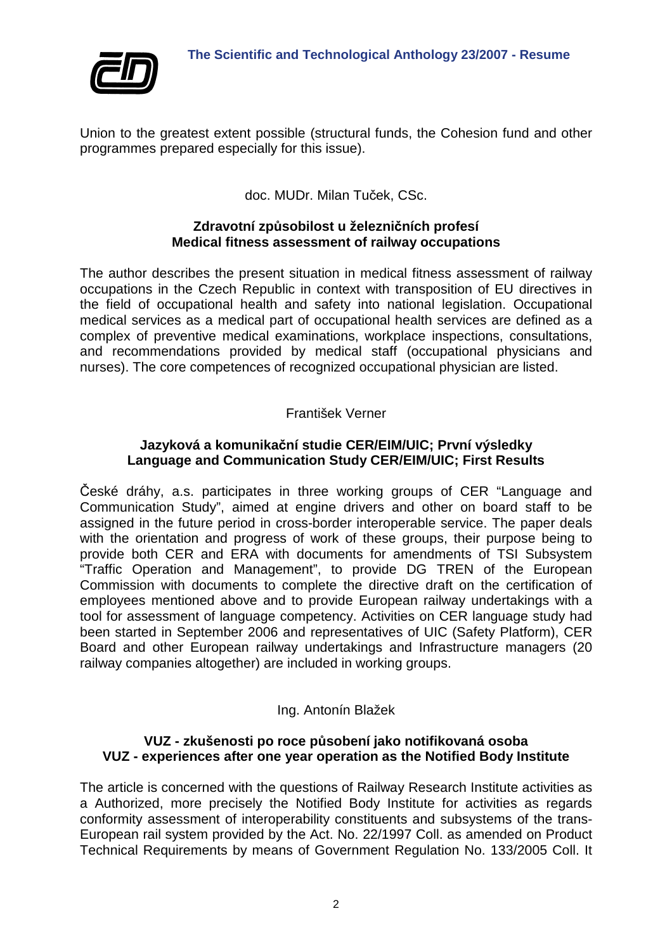

Union to the greatest extent possible (structural funds, the Cohesion fund and other programmes prepared especially for this issue).

doc. MUDr. Milan Tuček, CSc.

# **Zdravotní způsobilost u železničních profesí Medical fitness assessment of railway occupations**

The author describes the present situation in medical fitness assessment of railway occupations in the Czech Republic in context with transposition of EU directives in the field of occupational health and safety into national legislation. Occupational medical services as a medical part of occupational health services are defined as a complex of preventive medical examinations, workplace inspections, consultations, and recommendations provided by medical staff (occupational physicians and nurses). The core competences of recognized occupational physician are listed.

# František Verner

## **Jazyková a komunikační studie CER/EIM/UIC; První výsledky Language and Communication Study CER/EIM/UIC; First Results**

České dráhy, a.s. participates in three working groups of CER "Language and Communication Study", aimed at engine drivers and other on board staff to be assigned in the future period in cross-border interoperable service. The paper deals with the orientation and progress of work of these groups, their purpose being to provide both CER and ERA with documents for amendments of TSI Subsystem "Traffic Operation and Management", to provide DG TREN of the European Commission with documents to complete the directive draft on the certification of employees mentioned above and to provide European railway undertakings with a tool for assessment of language competency. Activities on CER language study had been started in September 2006 and representatives of UIC (Safety Platform), CER Board and other European railway undertakings and Infrastructure managers (20 railway companies altogether) are included in working groups.

## Ing. Antonín Blažek

## **VUZ - zkušenosti po roce působení jako notifikovaná osoba VUZ - experiences after one year operation as the Notified Body Institute**

The article is concerned with the questions of Railway Research Institute activities as a Authorized, more precisely the Notified Body Institute for activities as regards conformity assessment of interoperability constituents and subsystems of the trans-European rail system provided by the Act. No. 22/1997 Coll. as amended on Product Technical Requirements by means of Government Regulation No. 133/2005 Coll. It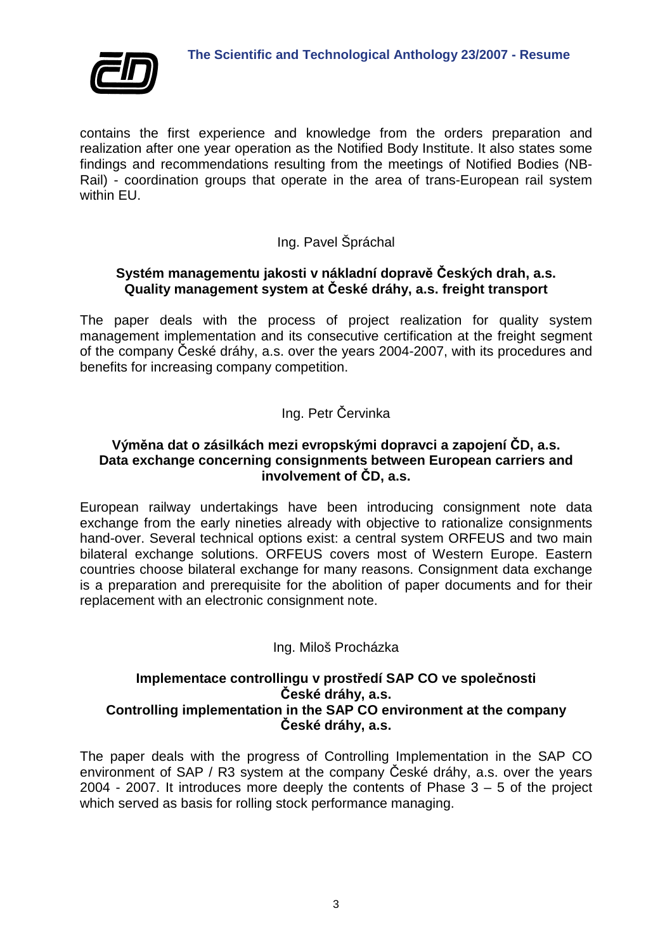

contains the first experience and knowledge from the orders preparation and realization after one year operation as the Notified Body Institute. It also states some findings and recommendations resulting from the meetings of Notified Bodies (NB-Rail) - coordination groups that operate in the area of trans-European rail system within FU.

# Ing. Pavel Špráchal

#### **Systém managementu jakosti v nákladní dopravě Českých drah, a.s. Quality management system at České dráhy, a.s. freight transport**

The paper deals with the process of project realization for quality system management implementation and its consecutive certification at the freight segment of the company České dráhy, a.s. over the years 2004-2007, with its procedures and benefits for increasing company competition.

# Ing. Petr Červinka

# **Výměna dat o zásilkách mezi evropskými dopravci a zapojení ČD, a.s. Data exchange concerning consignments between European carriers and involvement of ČD, a.s.**

European railway undertakings have been introducing consignment note data exchange from the early nineties already with objective to rationalize consignments hand-over. Several technical options exist: a central system ORFEUS and two main bilateral exchange solutions. ORFEUS covers most of Western Europe. Eastern countries choose bilateral exchange for many reasons. Consignment data exchange is a preparation and prerequisite for the abolition of paper documents and for their replacement with an electronic consignment note.

# Ing. Miloš Procházka

# **Implementace controllingu v prostředí SAP CO ve společnosti České dráhy, a.s. Controlling implementation in the SAP CO environment at the company České dráhy, a.s.**

The paper deals with the progress of Controlling Implementation in the SAP CO environment of SAP / R3 system at the company České dráhy, a.s. over the years 2004 - 2007. It introduces more deeply the contents of Phase  $3 - 5$  of the project which served as basis for rolling stock performance managing.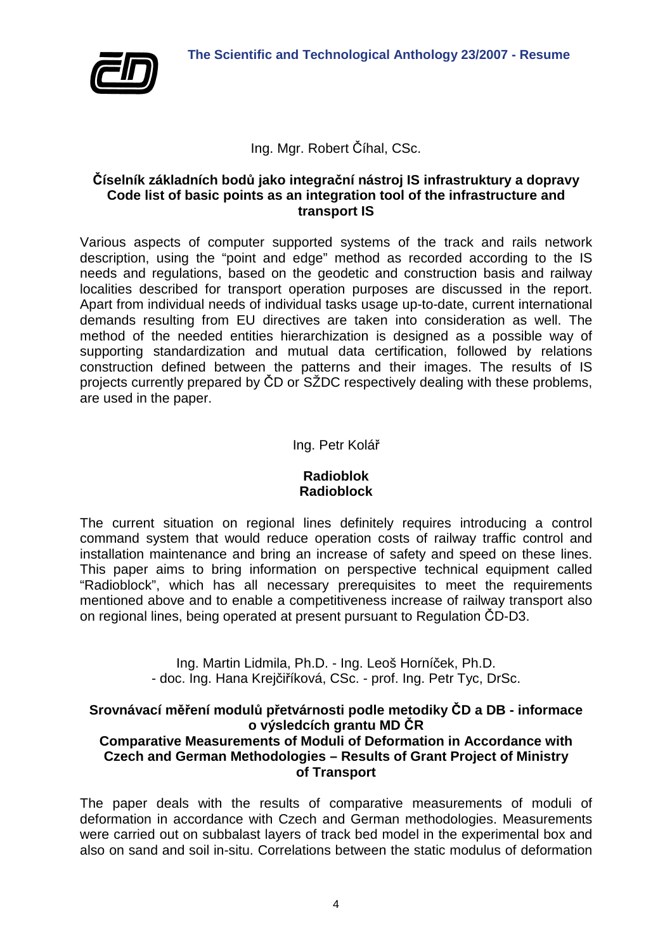

# Ing. Mgr. Robert Číhal, CSc.

#### **Číselník základních bodů jako integrační nástroj IS infrastruktury a dopravy Code list of basic points as an integration tool of the infrastructure and transport IS**

Various aspects of computer supported systems of the track and rails network description, using the "point and edge" method as recorded according to the IS needs and regulations, based on the geodetic and construction basis and railway localities described for transport operation purposes are discussed in the report. Apart from individual needs of individual tasks usage up-to-date, current international demands resulting from EU directives are taken into consideration as well. The method of the needed entities hierarchization is designed as a possible way of supporting standardization and mutual data certification, followed by relations construction defined between the patterns and their images. The results of IS projects currently prepared by ČD or SŽDC respectively dealing with these problems, are used in the paper.

## Ing. Petr Kolář

#### **Radioblok Radioblock**

The current situation on regional lines definitely requires introducing a control command system that would reduce operation costs of railway traffic control and installation maintenance and bring an increase of safety and speed on these lines. This paper aims to bring information on perspective technical equipment called "Radioblock", which has all necessary prerequisites to meet the requirements mentioned above and to enable a competitiveness increase of railway transport also on regional lines, being operated at present pursuant to Regulation ČD-D3.

> Ing. Martin Lidmila, Ph.D. - Ing. Leoš Horníček, Ph.D. - doc. Ing. Hana Krejčiříková, CSc. - prof. Ing. Petr Tyc, DrSc.

#### **Srovnávací měření modulů přetvárnosti podle metodiky ČD a DB - informace o výsledcích grantu MD ČR Comparative Measurements of Moduli of Deformation in Accordance with Czech and German Methodologies – Results of Grant Project of Ministry of Transport**

The paper deals with the results of comparative measurements of moduli of deformation in accordance with Czech and German methodologies. Measurements were carried out on subbalast layers of track bed model in the experimental box and also on sand and soil in-situ. Correlations between the static modulus of deformation